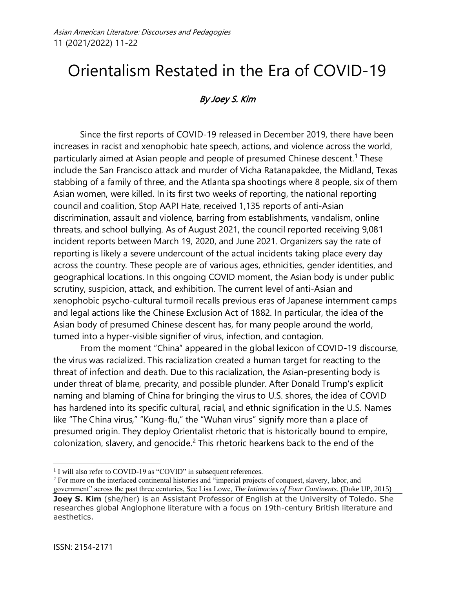# Orientalism Restated in the Era of COVID-19

# By Joey S. Kim

Since the first reports of COVID-19 released in December 2019, there have been increases in racist and xenophobic hate speech, actions, and violence across the world, particularly aimed at Asian people and people of presumed Chinese descent.<sup>1</sup> These include the San Francisco attack and murder of Vicha Ratanapakdee, the Midland, Texas stabbing of a family of three, and the Atlanta spa shootings where 8 people, six of them Asian women, were killed. In its first two weeks of reporting, the national reporting council and coalition, Stop AAPI Hate, received 1,135 reports of anti-Asian discrimination, assault and violence, barring from establishments, vandalism, online threats, and school bullying. As of August 2021, the council reported receiving 9,081 incident reports between March 19, 2020, and June 2021. Organizers say the rate of reporting is likely a severe undercount of the actual incidents taking place every day across the country. These people are of various ages, ethnicities, gender identities, and geographical locations. In this ongoing COVID moment, the Asian body is under public scrutiny, suspicion, attack, and exhibition. The current level of anti-Asian and xenophobic psycho-cultural turmoil recalls previous eras of Japanese internment camps and legal actions like the Chinese Exclusion Act of 1882. In particular, the idea of the Asian body of presumed Chinese descent has, for many people around the world, turned into a hyper-visible signifier of virus, infection, and contagion.

From the moment "China" appeared in the global lexicon of COVID-19 discourse, the virus was racialized. This racialization created a human target for reacting to the threat of infection and death. Due to this racialization, the Asian-presenting body is under threat of blame, precarity, and possible plunder. After Donald Trump's explicit naming and blaming of China for bringing the virus to U.S. shores, the idea of COVID has hardened into its specific cultural, racial, and ethnic signification in the U.S. Names like "The China virus," "Kung-flu," the "Wuhan virus" signify more than a place of presumed origin. They deploy Orientalist rhetoric that is historically bound to empire, colonization, slavery, and genocide.<sup>2</sup> This rhetoric hearkens back to the end of the

<sup>2</sup> For more on the interlaced continental histories and "imperial projects of conquest, slavery, labor, and government" across the past three centuries, See Lisa Lowe, *The Intimacies of Four Continents*. (Duke UP, 2015)

<sup>&</sup>lt;sup>1</sup> I will also refer to COVID-19 as "COVID" in subsequent references.

**Joey S. Kim** (she/her) is an Assistant Professor of English at the University of Toledo. She researches global Anglophone literature with a focus on 19th-century British literature and aesthetics.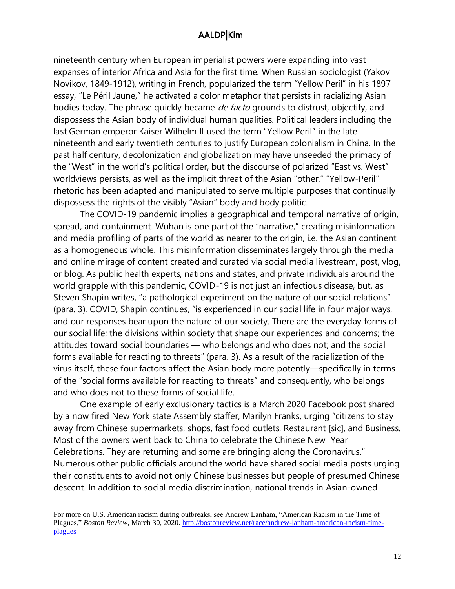nineteenth century when European imperialist powers were expanding into vast expanses of interior Africa and Asia for the first time. When Russian sociologist (Yakov Novikov, 1849-1912), writing in French, popularized the term "Yellow Peril" in his 1897 essay, "Le Péril Jaune," he activated a color metaphor that persists in racializing Asian bodies today. The phrase quickly became *de facto* grounds to distrust, objectify, and dispossess the Asian body of individual human qualities. Political leaders including the last German emperor Kaiser Wilhelm II used the term "Yellow Peril" in the late nineteenth and early twentieth centuries to justify European colonialism in China. In the past half century, decolonization and globalization may have unseeded the primacy of the "West" in the world's political order, but the discourse of polarized "East vs. West" worldviews persists, as well as the implicit threat of the Asian "other." "Yellow-Peril" rhetoric has been adapted and manipulated to serve multiple purposes that continually dispossess the rights of the visibly "Asian" body and body politic.

The COVID-19 pandemic implies a geographical and temporal narrative of origin, spread, and containment. Wuhan is one part of the "narrative," creating misinformation and media profiling of parts of the world as nearer to the origin, i.e. the Asian continent as a homogeneous whole. This misinformation disseminates largely through the media and online mirage of content created and curated via social media livestream, post, vlog, or blog. As public health experts, nations and states, and private individuals around the world grapple with this pandemic, COVID-19 is not just an infectious disease, but, as Steven Shapin writes, "a pathological experiment on the nature of our social relations" (para. 3). COVID, Shapin continues, "is experienced in our social life in four major ways, and our responses bear upon the nature of our society. There are the everyday forms of our social life; the divisions within society that shape our experiences and concerns; the attitudes toward social boundaries — who belongs and who does not; and the social forms available for reacting to threats" (para. 3). As a result of the racialization of the virus itself, these four factors affect the Asian body more potently—specifically in terms of the "social forms available for reacting to threats" and consequently, who belongs and who does not to these forms of social life.

One example of early exclusionary tactics is a March 2020 Facebook post shared by a now fired New York state Assembly staffer, Marilyn Franks, urging "citizens to stay away from Chinese supermarkets, shops, fast food outlets, Restaurant [sic], and Business. Most of the owners went back to China to celebrate the Chinese New [Year] Celebrations. They are returning and some are bringing along the Coronavirus." Numerous other public officials around the world have shared social media posts urging their constituents to avoid not only Chinese businesses but people of presumed Chinese descent. In addition to social media discrimination, national trends in Asian-owned

For more on U.S. American racism during outbreaks, see Andrew Lanham, "American Racism in the Time of Plagues," *Boston Review*, March 30, 2020. [http://bostonreview.net/race/andrew-lanham-american-racism-time](http://bostonreview.net/race/andrew-lanham-american-racism-time-plagues)[plagues](http://bostonreview.net/race/andrew-lanham-american-racism-time-plagues)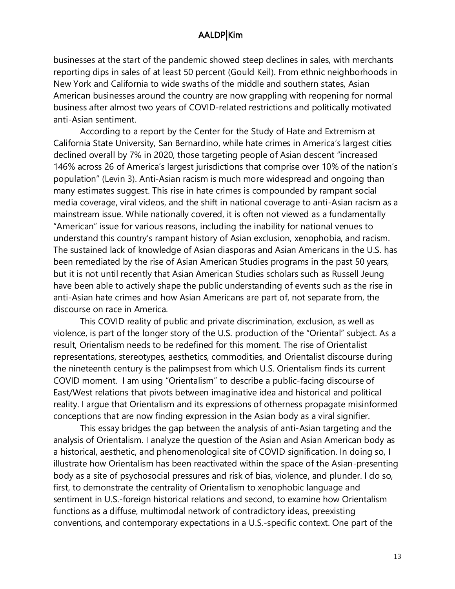businesses at the start of the pandemic showed steep declines in sales, with merchants reporting dips in sales of at least 50 percent (Gould Keil). From ethnic neighborhoods in New York and California to wide swaths of the middle and southern states, Asian American businesses around the country are now grappling with reopening for normal business after almost two years of COVID-related restrictions and politically motivated anti-Asian sentiment.

According to a report by the Center for the Study of Hate and Extremism at California State University, San Bernardino, while hate crimes in America's largest cities declined overall by 7% in 2020, those targeting people of Asian descent "increased 146% across 26 of America's largest jurisdictions that comprise over 10% of the nation's population" (Levin 3). Anti-Asian racism is much more widespread and ongoing than many estimates suggest. This rise in hate crimes is compounded by rampant social media coverage, viral videos, and the shift in national coverage to anti-Asian racism as a mainstream issue. While nationally covered, it is often not viewed as a fundamentally "American" issue for various reasons, including the inability for national venues to understand this country's rampant history of Asian exclusion, xenophobia, and racism. The sustained lack of knowledge of Asian diasporas and Asian Americans in the U.S. has been remediated by the rise of Asian American Studies programs in the past 50 years, but it is not until recently that Asian American Studies scholars such as Russell Jeung have been able to actively shape the public understanding of events such as the rise in anti-Asian hate crimes and how Asian Americans are part of, not separate from, the discourse on race in America.

This COVID reality of public and private discrimination, exclusion, as well as violence, is part of the longer story of the U.S. production of the "Oriental" subject. As a result, Orientalism needs to be redefined for this moment. The rise of Orientalist representations, stereotypes, aesthetics, commodities, and Orientalist discourse during the nineteenth century is the palimpsest from which U.S. Orientalism finds its current COVID moment. I am using "Orientalism" to describe a public-facing discourse of East/West relations that pivots between imaginative idea and historical and political reality. I argue that Orientalism and its expressions of otherness propagate misinformed conceptions that are now finding expression in the Asian body as a viral signifier.

This essay bridges the gap between the analysis of anti-Asian targeting and the analysis of Orientalism. I analyze the question of the Asian and Asian American body as a historical, aesthetic, and phenomenological site of COVID signification. In doing so, I illustrate how Orientalism has been reactivated within the space of the Asian-presenting body as a site of psychosocial pressures and risk of bias, violence, and plunder. I do so, first, to demonstrate the centrality of Orientalism to xenophobic language and sentiment in U.S.-foreign historical relations and second, to examine how Orientalism functions as a diffuse, multimodal network of contradictory ideas, preexisting conventions, and contemporary expectations in a U.S.-specific context. One part of the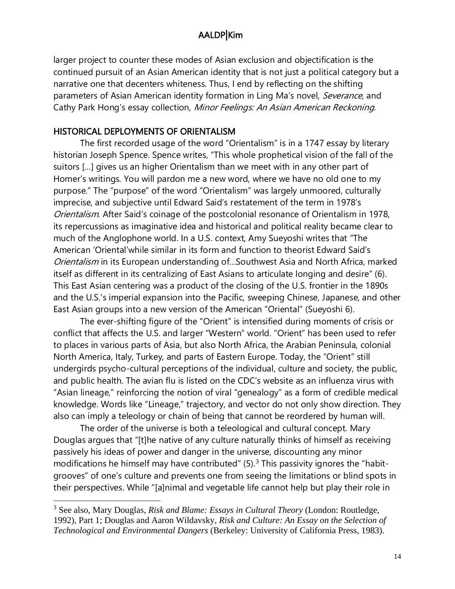larger project to counter these modes of Asian exclusion and objectification is the continued pursuit of an Asian American identity that is not just a political category but a narrative one that decenters whiteness. Thus, I end by reflecting on the shifting parameters of Asian American identity formation in Ling Ma's novel, Severance, and Cathy Park Hong's essay collection, Minor Feelings: An Asian American Reckoning.

#### HISTORICAL DEPLOYMENTS OF ORIENTALISM

The first recorded usage of the word "Orientalism" is in a 1747 essay by literary historian Joseph Spence. Spence writes, "This whole prophetical vision of the fall of the suitors […] gives us an higher Orientalism than we meet with in any other part of Homer's writings. You will pardon me a new word, where we have no old one to my purpose." The "purpose" of the word "Orientalism" was largely unmoored, culturally imprecise, and subjective until Edward Said's restatement of the term in 1978's Orientalism. After Said's coinage of the postcolonial resonance of Orientalism in 1978, its repercussions as imaginative idea and historical and political reality became clear to much of the Anglophone world. In a U.S. context, Amy Sueyoshi writes that "The American 'Oriental'while similar in its form and function to theorist Edward Said's Orientalism in its European understanding of…Southwest Asia and North Africa, marked itself as different in its centralizing of East Asians to articulate longing and desire" (6). This East Asian centering was a product of the closing of the U.S. frontier in the 1890s and the U.S.'s imperial expansion into the Pacific, sweeping Chinese, Japanese, and other East Asian groups into a new version of the American "Oriental" (Sueyoshi 6).

The ever-shifting figure of the "Orient" is intensified during moments of crisis or conflict that affects the U.S. and larger "Western" world. "Orient" has been used to refer to places in various parts of Asia, but also North Africa, the Arabian Peninsula, colonial North America, Italy, Turkey, and parts of Eastern Europe. Today, the "Orient" still undergirds psycho-cultural perceptions of the individual, culture and society, the public, and public health. The avian flu is listed on the CDC's website as an influenza virus with "Asian lineage," reinforcing the notion of viral "genealogy" as a form of credible medical knowledge. Words like "Lineage," trajectory, and vector do not only show direction. They also can imply a teleology or chain of being that cannot be reordered by human will.

The order of the universe is both a teleological and cultural concept. Mary Douglas argues that "[t]he native of any culture naturally thinks of himself as receiving passively his ideas of power and danger in the universe, discounting any minor modifications he himself may have contributed"  $(5)$ .<sup>3</sup> This passivity ignores the "habitgrooves" of one's culture and prevents one from seeing the limitations or blind spots in their perspectives. While "[a]nimal and vegetable life cannot help but play their role in

<sup>3</sup> See also, Mary Douglas, *Risk and Blame: Essays in Cultural Theory* (London: Routledge, 1992), Part 1; Douglas and Aaron Wildavsky, *Risk and Culture: An Essay on the Selection of Technological and Environmental Dangers* (Berkeley: University of California Press, 1983).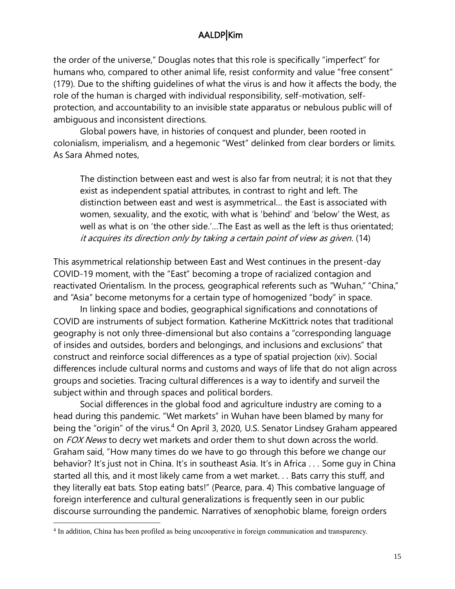the order of the universe," Douglas notes that this role is specifically "imperfect" for humans who, compared to other animal life, resist conformity and value "free consent" (179). Due to the shifting guidelines of what the virus is and how it affects the body, the role of the human is charged with individual responsibility, self-motivation, selfprotection, and accountability to an invisible state apparatus or nebulous public will of ambiguous and inconsistent directions.

Global powers have, in histories of conquest and plunder, been rooted in colonialism, imperialism, and a hegemonic "West" delinked from clear borders or limits. As Sara Ahmed notes,

The distinction between east and west is also far from neutral; it is not that they exist as independent spatial attributes, in contrast to right and left. The distinction between east and west is asymmetrical… the East is associated with women, sexuality, and the exotic, with what is 'behind' and 'below' the West, as well as what is on 'the other side.'…The East as well as the left is thus orientated; it acquires its direction only by taking a certain point of view as given. (14)

This asymmetrical relationship between East and West continues in the present-day COVID-19 moment, with the "East" becoming a trope of racialized contagion and reactivated Orientalism. In the process, geographical referents such as "Wuhan," "China," and "Asia" become metonyms for a certain type of homogenized "body" in space.

 In linking space and bodies, geographical significations and connotations of COVID are instruments of subject formation. Katherine McKittrick notes that traditional geography is not only three-dimensional but also contains a "corresponding language of insides and outsides, borders and belongings, and inclusions and exclusions" that construct and reinforce social differences as a type of spatial projection (xiv). Social differences include cultural norms and customs and ways of life that do not align across groups and societies. Tracing cultural differences is a way to identify and surveil the subject within and through spaces and political borders.

Social differences in the global food and agriculture industry are coming to a head during this pandemic. "Wet markets" in Wuhan have been blamed by many for being the "origin" of the virus.<sup>4</sup> On April 3, 2020, U.S. Senator Lindsey Graham appeared on FOX News to decry wet markets and order them to shut down across the world. Graham said, "How many times do we have to go through this before we change our behavior? It's just not in China. It's in southeast Asia. It's in Africa . . . Some guy in China started all this, and it most likely came from a wet market. . . Bats carry this stuff, and they literally eat bats. Stop eating bats!" (Pearce, para. 4) This combative language of foreign interference and cultural generalizations is frequently seen in our public discourse surrounding the pandemic. Narratives of xenophobic blame, foreign orders

<sup>4</sup> In addition, China has been profiled as being uncooperative in foreign communication and transparency.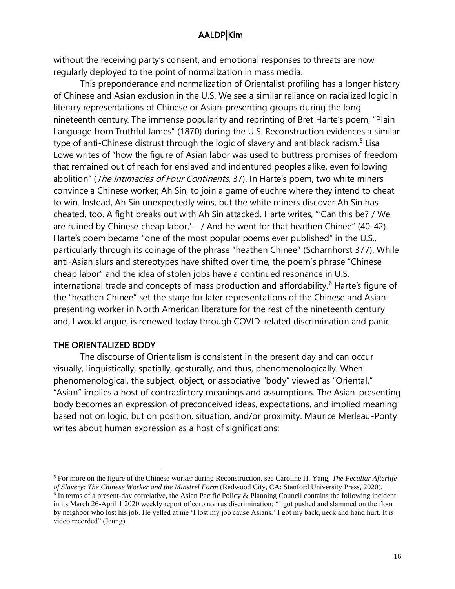without the receiving party's consent, and emotional responses to threats are now regularly deployed to the point of normalization in mass media.

This preponderance and normalization of Orientalist profiling has a longer history of Chinese and Asian exclusion in the U.S. We see a similar reliance on racialized logic in literary representations of Chinese or Asian-presenting groups during the long nineteenth century. The immense popularity and reprinting of Bret Harte's poem, "Plain Language from Truthful James" (1870) during the U.S. Reconstruction evidences a similar type of anti-Chinese distrust through the logic of slavery and antiblack racism.<sup>5</sup> Lisa Lowe writes of "how the figure of Asian labor was used to buttress promises of freedom that remained out of reach for enslaved and indentured peoples alike, even following abolition" (*The Intimacies of Four Continents*, 37). In Harte's poem, two white miners convince a Chinese worker, Ah Sin, to join a game of euchre where they intend to cheat to win. Instead, Ah Sin unexpectedly wins, but the white miners discover Ah Sin has cheated, too. A fight breaks out with Ah Sin attacked. Harte writes, "'Can this be? / We are ruined by Chinese cheap labor,'  $-$  / And he went for that heathen Chinee" (40-42). Harte's poem became "one of the most popular poems ever published" in the U.S., particularly through its coinage of the phrase "heathen Chinee" (Scharnhorst 377). While anti-Asian slurs and stereotypes have shifted over time, the poem's phrase "Chinese cheap labor" and the idea of stolen jobs have a continued resonance in U.S. international trade and concepts of mass production and affordability.<sup>6</sup> Harte's figure of the "heathen Chinee" set the stage for later representations of the Chinese and Asianpresenting worker in North American literature for the rest of the nineteenth century and, I would argue, is renewed today through COVID-related discrimination and panic.

#### THE ORIENTALIZED BODY

The discourse of Orientalism is consistent in the present day and can occur visually, linguistically, spatially, gesturally, and thus, phenomenologically. When phenomenological, the subject, object, or associative "body" viewed as "Oriental," "Asian" implies a host of contradictory meanings and assumptions. The Asian-presenting body becomes an expression of preconceived ideas, expectations, and implied meaning based not on logic, but on position, situation, and/or proximity. Maurice Merleau-Ponty writes about human expression as a host of significations:

<sup>5</sup> For more on the figure of the Chinese worker during Reconstruction, see Caroline H. Yang, *The Peculiar Afterlife of Slavery: The Chinese Worker and the Minstrel Form* (Redwood City, CA: Stanford University Press, 2020).

<sup>&</sup>lt;sup>6</sup> In terms of a present-day correlative, the Asian Pacific Policy & Planning Council contains the following incident in its March 26-April 1 2020 weekly report of coronavirus discrimination: "I got pushed and slammed on the floor by neighbor who lost his job. He yelled at me 'I lost my job cause Asians.' I got my back, neck and hand hurt. It is video recorded" (Jeung).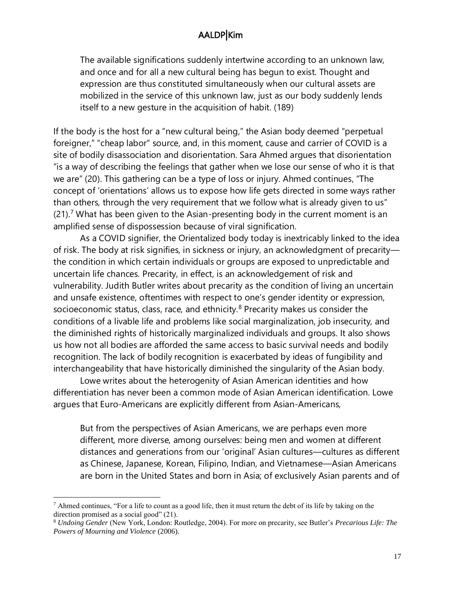The available significations suddenly intertwine according to an unknown law, and once and for all a new cultural being has begun to exist. Thought and expression are thus constituted simultaneously when our cultural assets are mobilized in the service of this unknown law, just as our body suddenly lends itself to a new gesture in the acquisition of habit. (189)

If the body is the host for a "new cultural being," the Asian body deemed "perpetual foreigner," "cheap labor" source, and, in this moment, cause and carrier of COVID is a site of bodily disassociation and disorientation. Sara Ahmed argues that disorientation "is a way of describing the feelings that gather when we lose our sense of who it is that we are" (20). This gathering can be a type of loss or injury. Ahmed continues, "The concept of 'orientations' allows us to expose how life gets directed in some ways rather than others, through the very requirement that we follow what is already given to us"  $(21).<sup>7</sup>$  What has been given to the Asian-presenting body in the current moment is an amplified sense of dispossession because of viral signification.

As a COVID signifier, the Orientalized body today is inextricably linked to the idea of risk. The body at risk signifies, in sickness or injury, an acknowledgment of precarity the condition in which certain individuals or groups are exposed to unpredictable and uncertain life chances. Precarity, in effect, is an acknowledgement of risk and vulnerability. Judith Butler writes about precarity as the condition of living an uncertain and unsafe existence, oftentimes with respect to one's gender identity or expression, socioeconomic status, class, race, and ethnicity. $8$  Precarity makes us consider the conditions of a livable life and problems like social marginalization, job insecurity, and the diminished rights of historically marginalized individuals and groups. It also shows us how not all bodies are afforded the same access to basic survival needs and bodily recognition. The lack of bodily recognition is exacerbated by ideas of fungibility and interchangeability that have historically diminished the singularity of the Asian body.

Lowe writes about the heterogenity of Asian American identities and how differentiation has never been a common mode of Asian American identification. Lowe argues that Euro-Americans are explicitly different from Asian-Americans,

But from the perspectives of Asian Americans, we are perhaps even more different, more diverse, among ourselves: being men and women at different distances and generations from our 'original' Asian cultures—cultures as different as Chinese, Japanese, Korean, Filipino, Indian, and Vietnamese—Asian Americans are born in the United States and born in Asia; of exclusively Asian parents and of

 $^7$  Ahmed continues, "For a life to count as a good life, then it must return the debt of its life by taking on the direction promised as a social good" (21).

<sup>8</sup> *Undoing Gender* (New York, London: Routledge, 2004). For more on precarity, see Butler's *Precarious Life: The Powers of Mourning and Violence* (2006).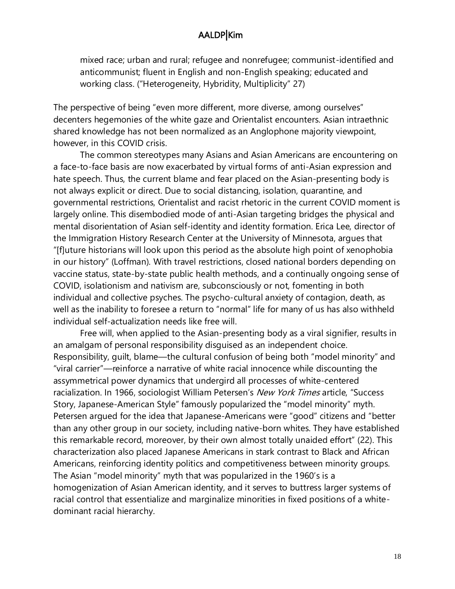mixed race; urban and rural; refugee and nonrefugee; communist-identified and anticommunist; fluent in English and non-English speaking; educated and working class. ("Heterogeneity, Hybridity, Multiplicity" 27)

The perspective of being "even more different, more diverse, among ourselves" decenters hegemonies of the white gaze and Orientalist encounters. Asian intraethnic shared knowledge has not been normalized as an Anglophone majority viewpoint, however, in this COVID crisis.

The common stereotypes many Asians and Asian Americans are encountering on a face-to-face basis are now exacerbated by virtual forms of anti-Asian expression and hate speech. Thus, the current blame and fear placed on the Asian-presenting body is not always explicit or direct. Due to social distancing, isolation, quarantine, and governmental restrictions, Orientalist and racist rhetoric in the current COVID moment is largely online. This disembodied mode of anti-Asian targeting bridges the physical and mental disorientation of Asian self-identity and identity formation. Erica Lee, director of the Immigration History Research Center at the University of Minnesota, argues that "[f]uture historians will look upon this period as the absolute high point of xenophobia in our history" (Loffman). With travel restrictions, closed national borders depending on vaccine status, state-by-state public health methods, and a continually ongoing sense of COVID, isolationism and nativism are, subconsciously or not, fomenting in both individual and collective psyches. The psycho-cultural anxiety of contagion, death, as well as the inability to foresee a return to "normal" life for many of us has also withheld individual self-actualization needs like free will.

Free will, when applied to the Asian-presenting body as a viral signifier, results in an amalgam of personal responsibility disguised as an independent choice. Responsibility, guilt, blame—the cultural confusion of being both "model minority" and "viral carrier"—reinforce a narrative of white racial innocence while discounting the assymmetrical power dynamics that undergird all processes of white-centered racialization. In 1966, sociologist William Petersen's New York Times article, "Success Story, Japanese-American Style" famously popularized the "model minority" myth. Petersen argued for the idea that Japanese-Americans were "good" citizens and "better than any other group in our society, including native-born whites. They have established this remarkable record, moreover, by their own almost totally unaided effort" (22). This characterization also placed Japanese Americans in stark contrast to Black and African Americans, reinforcing identity politics and competitiveness between minority groups. The Asian "model minority" myth that was popularized in the 1960's is a homogenization of Asian American identity, and it serves to buttress larger systems of racial control that essentialize and marginalize minorities in fixed positions of a whitedominant racial hierarchy.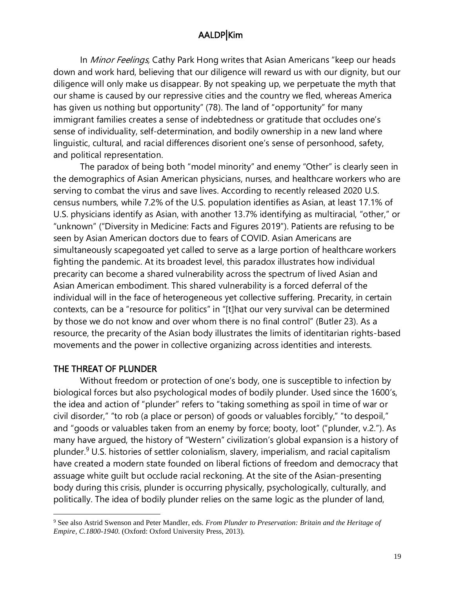In *Minor Feelings*, Cathy Park Hong writes that Asian Americans "keep our heads down and work hard, believing that our diligence will reward us with our dignity, but our diligence will only make us disappear. By not speaking up, we perpetuate the myth that our shame is caused by our repressive cities and the country we fled, whereas America has given us nothing but opportunity" (78). The land of "opportunity" for many immigrant families creates a sense of indebtedness or gratitude that occludes one's sense of individuality, self-determination, and bodily ownership in a new land where linguistic, cultural, and racial differences disorient one's sense of personhood, safety, and political representation.

The paradox of being both "model minority" and enemy "Other" is clearly seen in the demographics of Asian American physicians, nurses, and healthcare workers who are serving to combat the virus and save lives. According to recently released 2020 U.S. census numbers, while 7.2% of the U.S. population identifies as Asian, at least 17.1% of U.S. physicians identify as Asian, with another 13.7% identifying as multiracial, "other," or "unknown" ("Diversity in Medicine: Facts and Figures 2019"). Patients are refusing to be seen by Asian American doctors due to fears of COVID. Asian Americans are simultaneously scapegoated yet called to serve as a large portion of healthcare workers fighting the pandemic. At its broadest level, this paradox illustrates how individual precarity can become a shared vulnerability across the spectrum of lived Asian and Asian American embodiment. This shared vulnerability is a forced deferral of the individual will in the face of heterogeneous yet collective suffering. Precarity, in certain contexts, can be a "resource for politics" in "[t]hat our very survival can be determined by those we do not know and over whom there is no final control" (Butler 23). As a resource, the precarity of the Asian body illustrates the limits of identitarian rights-based movements and the power in collective organizing across identities and interests.

#### THE THREAT OF PLUNDER

Without freedom or protection of one's body, one is susceptible to infection by biological forces but also psychological modes of bodily plunder. Used since the 1600's, the idea and action of "plunder" refers to "taking something as spoil in time of war or civil disorder," "to rob (a place or person) of goods or valuables forcibly," "to despoil," and "goods or valuables taken from an enemy by force; booty, loot" ("plunder, v.2."). As many have argued, the history of "Western" civilization's global expansion is a history of plunder.<sup>9</sup> U.S. histories of settler colonialism, slavery, imperialism, and racial capitalism have created a modern state founded on liberal fictions of freedom and democracy that assuage white guilt but occlude racial reckoning. At the site of the Asian-presenting body during this crisis, plunder is occurring physically, psychologically, culturally, and politically. The idea of bodily plunder relies on the same logic as the plunder of land,

<sup>9</sup> See also Astrid Swenson and Peter Mandler, eds. *From Plunder to Preservation: Britain and the Heritage of Empire, C.1800-1940*. (Oxford: Oxford University Press, 2013).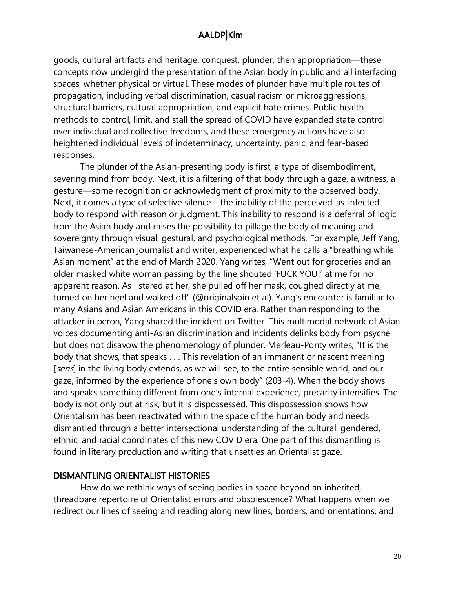goods, cultural artifacts and heritage: conquest, plunder, then appropriation—these concepts now undergird the presentation of the Asian body in public and all interfacing spaces, whether physical or virtual. These modes of plunder have multiple routes of propagation, including verbal discrimination, casual racism or microaggressions, structural barriers, cultural appropriation, and explicit hate crimes. Public health methods to control, limit, and stall the spread of COVID have expanded state control over individual and collective freedoms, and these emergency actions have also heightened individual levels of indeterminacy, uncertainty, panic, and fear-based responses.

The plunder of the Asian-presenting body is first, a type of disembodiment, severing mind from body. Next, it is a filtering of that body through a gaze, a witness, a gesture—some recognition or acknowledgment of proximity to the observed body. Next, it comes a type of selective silence—the inability of the perceived-as-infected body to respond with reason or judgment. This inability to respond is a deferral of logic from the Asian body and raises the possibility to pillage the body of meaning and sovereignty through visual, gestural, and psychological methods. For example, Jeff Yang, Taiwanese-American journalist and writer, experienced what he calls a "breathing while Asian moment" at the end of March 2020. Yang writes, "Went out for groceries and an older masked white woman passing by the line shouted 'FUCK YOU!' at me for no apparent reason. As I stared at her, she pulled off her mask, coughed directly at me, turned on her heel and walked off" (@originalspin et al). Yang's encounter is familiar to many Asians and Asian Americans in this COVID era. Rather than responding to the attacker in peron, Yang shared the incident on Twitter. This multimodal network of Asian voices documenting anti-Asian discrimination and incidents delinks body from psyche but does not disavow the phenomenology of plunder. Merleau-Ponty writes, "It is the body that shows, that speaks . . . This revelation of an immanent or nascent meaning [sens] in the living body extends, as we will see, to the entire sensible world, and our gaze, informed by the experience of one's own body" (203-4). When the body shows and speaks something different from one's internal experience, precarity intensifies. The body is not only put at risk, but it is dispossessed. This dispossession shows how Orientalism has been reactivated within the space of the human body and needs dismantled through a better intersectional understanding of the cultural, gendered, ethnic, and racial coordinates of this new COVID era. One part of this dismantling is found in literary production and writing that unsettles an Orientalist gaze.

#### DISMANTLING ORIENTALIST HISTORIES

How do we rethink ways of seeing bodies in space beyond an inherited, threadbare repertoire of Orientalist errors and obsolescence? What happens when we redirect our lines of seeing and reading along new lines, borders, and orientations, and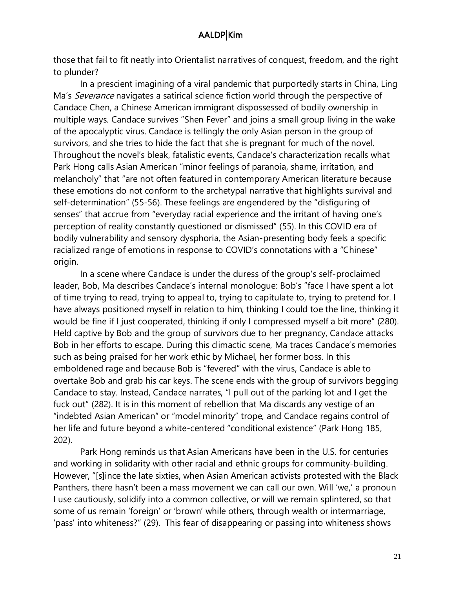those that fail to fit neatly into Orientalist narratives of conquest, freedom, and the right to plunder?

In a prescient imagining of a viral pandemic that purportedly starts in China, Ling Ma's *Severance* navigates a satirical science fiction world through the perspective of Candace Chen, a Chinese American immigrant dispossessed of bodily ownership in multiple ways. Candace survives "Shen Fever" and joins a small group living in the wake of the apocalyptic virus. Candace is tellingly the only Asian person in the group of survivors, and she tries to hide the fact that she is pregnant for much of the novel. Throughout the novel's bleak, fatalistic events, Candace's characterization recalls what Park Hong calls Asian American "minor feelings of paranoia, shame, irritation, and melancholy" that "are not often featured in contemporary American literature because these emotions do not conform to the archetypal narrative that highlights survival and self-determination" (55-56). These feelings are engendered by the "disfiguring of senses" that accrue from "everyday racial experience and the irritant of having one's perception of reality constantly questioned or dismissed" (55). In this COVID era of bodily vulnerability and sensory dysphoria, the Asian-presenting body feels a specific racialized range of emotions in response to COVID's connotations with a "Chinese" origin.

In a scene where Candace is under the duress of the group's self-proclaimed leader, Bob, Ma describes Candace's internal monologue: Bob's "face I have spent a lot of time trying to read, trying to appeal to, trying to capitulate to, trying to pretend for. I have always positioned myself in relation to him, thinking I could toe the line, thinking it would be fine if I just cooperated, thinking if only I compressed myself a bit more" (280). Held captive by Bob and the group of survivors due to her pregnancy, Candace attacks Bob in her efforts to escape. During this climactic scene, Ma traces Candace's memories such as being praised for her work ethic by Michael, her former boss. In this emboldened rage and because Bob is "fevered" with the virus, Candace is able to overtake Bob and grab his car keys. The scene ends with the group of survivors begging Candace to stay. Instead, Candace narrates, "I pull out of the parking lot and I get the fuck out" (282). It is in this moment of rebellion that Ma discards any vestige of an "indebted Asian American" or "model minority" trope, and Candace regains control of her life and future beyond a white-centered "conditional existence" (Park Hong 185, 202).

Park Hong reminds us that Asian Americans have been in the U.S. for centuries and working in solidarity with other racial and ethnic groups for community-building. However, "[s]ince the late sixties, when Asian American activists protested with the Black Panthers, there hasn't been a mass movement we can call our own. Will 'we,' a pronoun I use cautiously, solidify into a common collective, or will we remain splintered, so that some of us remain 'foreign' or 'brown' while others, through wealth or intermarriage, 'pass' into whiteness?" (29). This fear of disappearing or passing into whiteness shows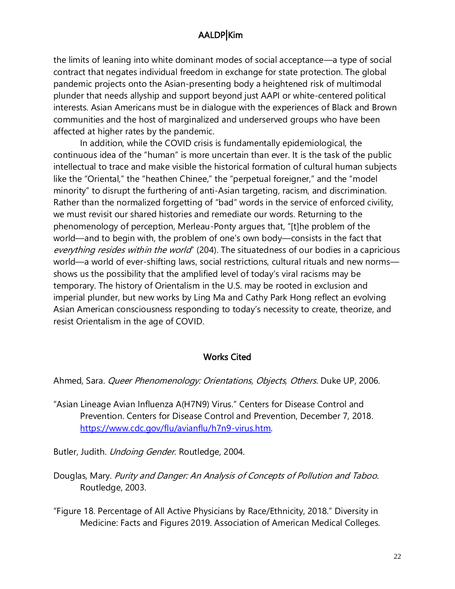the limits of leaning into white dominant modes of social acceptance—a type of social contract that negates individual freedom in exchange for state protection. The global pandemic projects onto the Asian-presenting body a heightened risk of multimodal plunder that needs allyship and support beyond just AAPI or white-centered political interests. Asian Americans must be in dialogue with the experiences of Black and Brown communities and the host of marginalized and underserved groups who have been affected at higher rates by the pandemic.

In addition, while the COVID crisis is fundamentally epidemiological, the continuous idea of the "human" is more uncertain than ever. It is the task of the public intellectual to trace and make visible the historical formation of cultural human subjects like the "Oriental," the "heathen Chinee," the "perpetual foreigner," and the "model minority" to disrupt the furthering of anti-Asian targeting, racism, and discrimination. Rather than the normalized forgetting of "bad" words in the service of enforced civility, we must revisit our shared histories and remediate our words. Returning to the phenomenology of perception, Merleau-Ponty argues that, "[t]he problem of the world—and to begin with, the problem of one's own body—consists in the fact that everything resides within the world" (204). The situatedness of our bodies in a capricious world—a world of ever-shifting laws, social restrictions, cultural rituals and new norms shows us the possibility that the amplified level of today's viral racisms may be temporary. The history of Orientalism in the U.S. may be rooted in exclusion and imperial plunder, but new works by Ling Ma and Cathy Park Hong reflect an evolving Asian American consciousness responding to today's necessity to create, theorize, and resist Orientalism in the age of COVID.

#### Works Cited

Ahmed, Sara. *Queer Phenomenology: Orientations, Objects, Others*. Duke UP, 2006.

"Asian Lineage Avian Influenza A(H7N9) Virus." Centers for Disease Control and Prevention. Centers for Disease Control and Prevention, December 7, 2018. [https://www.cdc.gov/flu/avianflu/h7n9-virus.htm.](https://www.cdc.gov/flu/avianflu/h7n9-virus.htm)

Butler, Judith. Undoing Gender. Routledge, 2004.

- Douglas, Mary. Purity and Danger: An Analysis of Concepts of Pollution and Taboo. Routledge, 2003.
- "Figure 18. Percentage of All Active Physicians by Race/Ethnicity, 2018." Diversity in Medicine: Facts and Figures 2019. Association of American Medical Colleges.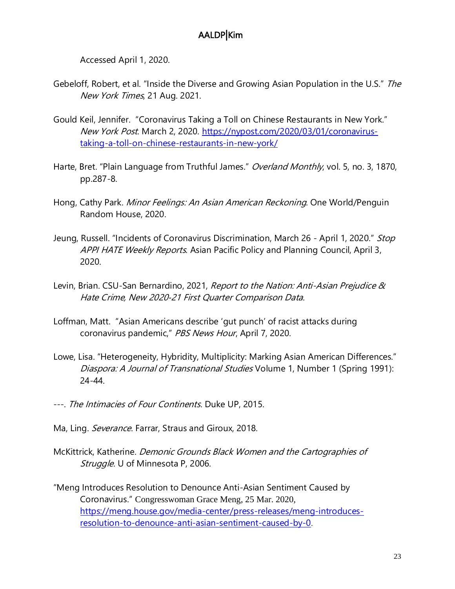Accessed April 1, 2020.

- Gebeloff, Robert, et al. "Inside the Diverse and Growing Asian Population in the U.S." The New York Times, 21 Aug. 2021.
- Gould Keil, Jennifer. "Coronavirus Taking a Toll on Chinese Restaurants in New York." New York Post. March 2, 2020. [https://nypost.com/2020/03/01/coronavirus](https://nypost.com/2020/03/01/coronavirus-taking-a-toll-on-chinese-restaurants-in-new-york/)[taking-a-toll-on-chinese-restaurants-in-new-york/](https://nypost.com/2020/03/01/coronavirus-taking-a-toll-on-chinese-restaurants-in-new-york/)
- Harte, Bret. "Plain Language from Truthful James." Overland Monthly, vol. 5, no. 3, 1870, pp.287-8.
- Hong, Cathy Park. Minor Feelings: An Asian American Reckoning. One World/Penguin Random House, 2020.
- Jeung, Russell. "Incidents of Coronavirus Discrimination, March 26 April 1, 2020." Stop APPI HATE Weekly Reports. Asian Pacific Policy and Planning Council, April 3, 2020.
- Levin, Brian. CSU-San Bernardino, 2021, Report to the Nation: Anti-Asian Prejudice & Hate Crime, New 2020‐21 First Quarter Comparison Data.
- Loffman, Matt. "Asian Americans describe 'gut punch' of racist attacks during coronavirus pandemic," PBS News Hour, April 7, 2020.
- Lowe, Lisa. "Heterogeneity, Hybridity, Multiplicity: Marking Asian American Differences." Diaspora: A Journal of Transnational Studies Volume 1, Number 1 (Spring 1991): 24-44.
- ---. The Intimacies of Four Continents. Duke UP, 2015.
- Ma, Ling. Severance. Farrar, Straus and Giroux, 2018.
- McKittrick, Katherine. Demonic Grounds Black Women and the Cartographies of Struggle. U of Minnesota P, 2006.
- "Meng Introduces Resolution to Denounce Anti-Asian Sentiment Caused by Coronavirus." Congresswoman Grace Meng, 25 Mar. 2020, [https://meng.house.gov/media-center/press-releases/meng-introduces](https://meng.house.gov/media-center/press-releases/meng-introduces-resolution-to-denounce-anti-asian-sentiment-caused-by-0)[resolution-to-denounce-anti-asian-sentiment-caused-by-0](https://meng.house.gov/media-center/press-releases/meng-introduces-resolution-to-denounce-anti-asian-sentiment-caused-by-0).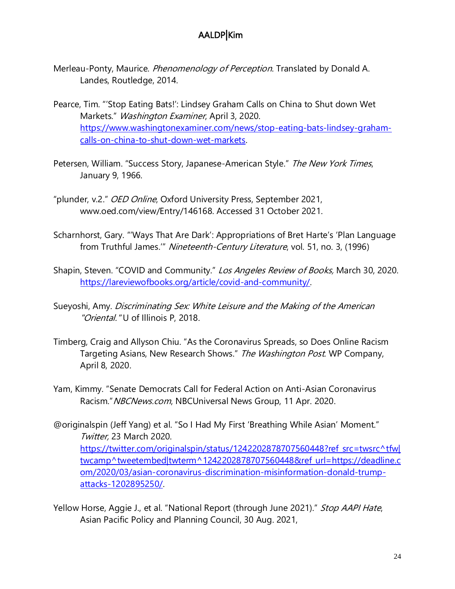- Merleau-Ponty, Maurice. *Phenomenology of Perception*. Translated by Donald A. Landes, Routledge, 2014.
- Pearce, Tim. "'Stop Eating Bats!': Lindsey Graham Calls on China to Shut down Wet Markets." Washington Examiner, April 3, 2020. [https://www.washingtonexaminer.com/news/stop-eating-bats-lindsey-graham](https://www.washingtonexaminer.com/news/stop-eating-bats-lindsey-graham-calls-on-china-to-shut-down-wet-markets)[calls-on-china-to-shut-down-wet-markets.](https://www.washingtonexaminer.com/news/stop-eating-bats-lindsey-graham-calls-on-china-to-shut-down-wet-markets)
- Petersen, William. "Success Story, Japanese-American Style." The New York Times, January 9, 1966.
- "plunder, v.2." OED Online, Oxford University Press, September 2021, www.oed.com/view/Entry/146168. Accessed 31 October 2021.
- Scharnhorst, Gary. "'Ways That Are Dark': Appropriations of Bret Harte's 'Plan Language from Truthful James.'" Nineteenth-Century Literature, vol. 51, no. 3, (1996)
- Shapin, Steven. "COVID and Community." Los Angeles Review of Books, March 30, 2020. [https://lareviewofbooks.org/article/covid-and-community/.](https://lareviewofbooks.org/article/covid-and-community/)
- Sueyoshi, Amy. Discriminating Sex: White Leisure and the Making of the American "Oriental." U of Illinois P, 2018.
- Timberg, Craig and Allyson Chiu. "As the Coronavirus Spreads, so Does Online Racism Targeting Asians, New Research Shows." The Washington Post. WP Company, April 8, 2020.
- Yam, Kimmy. "Senate Democrats Call for Federal Action on Anti-Asian Coronavirus Racism." NBCNews.com, NBCUniversal News Group, 11 Apr. 2020.
- @originalspin (Jeff Yang) et al. "So I Had My First 'Breathing While Asian' Moment." Twitter, 23 March 2020. [https://twitter.com/originalspin/status/1242202878707560448?ref\\_src=twsrc^tfw|](https://twitter.com/originalspin/status/1242202878707560448?ref_src=twsrc%5etfw|twcamp%5etweetembed|twterm%5e1242202878707560448&ref_url=https://deadline.com/2020/03/asian-coronavirus-discrimination-misinformation-donald-trump-attacks-1202895250/) [twcamp^tweetembed|twterm^1242202878707560448&ref\\_url=https://deadline.c](https://twitter.com/originalspin/status/1242202878707560448?ref_src=twsrc%5etfw|twcamp%5etweetembed|twterm%5e1242202878707560448&ref_url=https://deadline.com/2020/03/asian-coronavirus-discrimination-misinformation-donald-trump-attacks-1202895250/) [om/2020/03/asian-coronavirus-discrimination-misinformation-donald-trump](https://twitter.com/originalspin/status/1242202878707560448?ref_src=twsrc%5etfw|twcamp%5etweetembed|twterm%5e1242202878707560448&ref_url=https://deadline.com/2020/03/asian-coronavirus-discrimination-misinformation-donald-trump-attacks-1202895250/)[attacks-1202895250/.](https://twitter.com/originalspin/status/1242202878707560448?ref_src=twsrc%5etfw|twcamp%5etweetembed|twterm%5e1242202878707560448&ref_url=https://deadline.com/2020/03/asian-coronavirus-discrimination-misinformation-donald-trump-attacks-1202895250/)
- Yellow Horse, Aggie J., et al. "National Report (through June 2021)." Stop AAPI Hate, Asian Pacific Policy and Planning Council, 30 Aug. 2021,